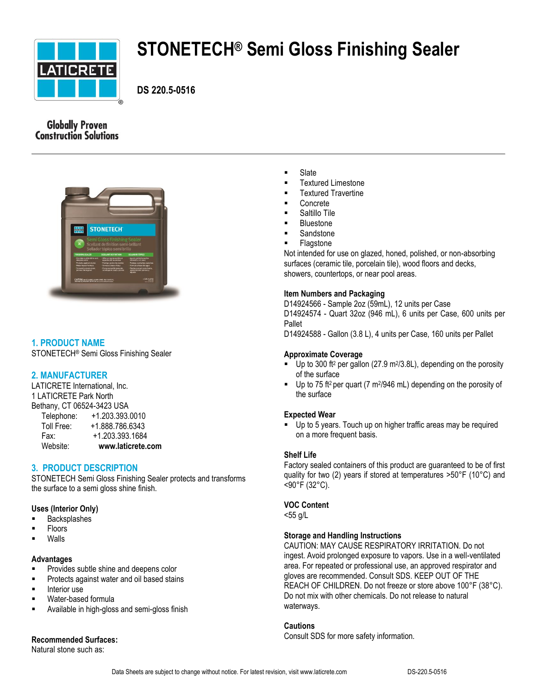

# **STONETECH® Semi Gloss Finishing Sealer**

**DS 220.5-0516**

# **Globally Proven Construction Solutions**



# **1. PRODUCT NAME**

STONETECH® Semi Gloss Finishing Sealer

# **2. MANUFACTURER**

LATICRETE International, Inc. 1 LATICRETE Park North Bethany, CT 06524-3423 USA Telephone: +1.203.393.0010

| Website:             | www.laticrete.com |
|----------------------|-------------------|
| Fax:                 | +1.203.393.1684   |
| Toll Free:           | +1.888.786.6343   |
| <b>TEIGDITOTIG</b> . | +1.200.090.00TU   |

# **3. PRODUCT DESCRIPTION**

STONETECH Semi Gloss Finishing Sealer protects and transforms the surface to a semi gloss shine finish.

## **Uses (Interior Only)**

- Backsplashes
- Floors
- Walls

## **Advantages**

- Provides subtle shine and deepens color
- Protects against water and oil based stains
- **Interior use**
- Water-based formula
- Available in high-gloss and semi-gloss finish

# **Recommended Surfaces:**

Natural stone such as:

- **Slate**
- Textured Limestone
- Textured Travertine
- Concrete
- Saltillo Tile
- Bluestone
- **Sandstone**
- **Flagstone**

Not intended for use on glazed, honed, polished, or non-absorbing surfaces (ceramic tile, porcelain tile), wood floors and decks, showers, countertops, or near pool areas.

## **Item Numbers and Packaging**

D14924566 - Sample 2oz (59mL), 12 units per Case D14924574 - Quart 32oz (946 mL), 6 units per Case, 600 units per Pallet

D14924588 - Gallon (3.8 L), 4 units per Case, 160 units per Pallet

## **Approximate Coverage**

- Up to 300 ft<sup>2</sup> per gallon (27.9 m<sup>2</sup>/3.8L), depending on the porosity of the surface
- $\blacksquare$  Up to 75 ft<sup>2</sup> per quart (7 m<sup>2</sup>/946 mL) depending on the porosity of the surface

## **Expected Wear**

 Up to 5 years. Touch up on higher traffic areas may be required on a more frequent basis.

# **Shelf Life**

Factory sealed containers of this product are guaranteed to be of first quality for two (2) years if stored at temperatures >50°F (10°C) and <90°F (32°C).

## **VOC Content**

<55 g/L

## **Storage and Handling Instructions**

CAUTION: MAY CAUSE RESPIRATORY IRRITATION. Do not ingest. Avoid prolonged exposure to vapors. Use in a well-ventilated area. For repeated or professional use, an approved respirator and gloves are recommended. Consult SDS. KEEP OUT OF THE REACH OF CHILDREN. Do not freeze or store above 100°F (38°C). Do not mix with other chemicals. Do not release to natural waterways.

## **Cautions**

Consult SDS for more safety information.